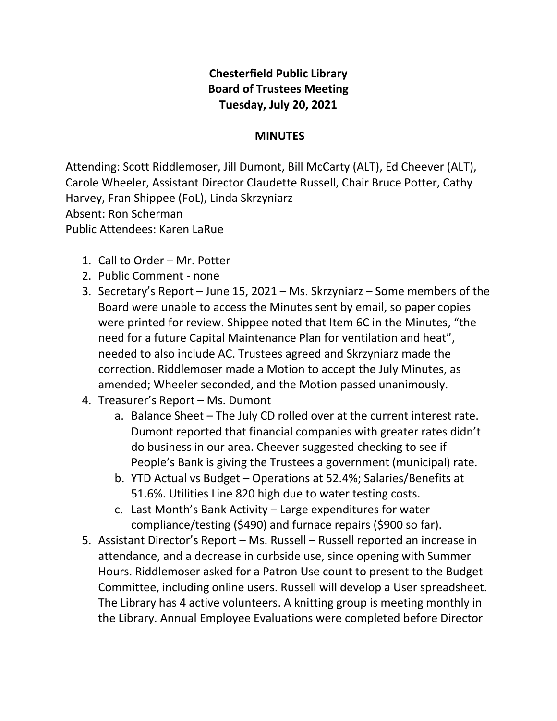## **Chesterfield Public Library Board of Trustees Meeting Tuesday, July 20, 2021**

## **MINUTES**

Attending: Scott Riddlemoser, Jill Dumont, Bill McCarty (ALT), Ed Cheever (ALT), Carole Wheeler, Assistant Director Claudette Russell, Chair Bruce Potter, Cathy Harvey, Fran Shippee (FoL), Linda Skrzyniarz Absent: Ron Scherman Public Attendees: Karen LaRue

- 1. Call to Order Mr. Potter
- 2. Public Comment none
- 3. Secretary's Report June 15, 2021 Ms. Skrzyniarz Some members of the Board were unable to access the Minutes sent by email, so paper copies were printed for review. Shippee noted that Item 6C in the Minutes, "the need for a future Capital Maintenance Plan for ventilation and heat", needed to also include AC. Trustees agreed and Skrzyniarz made the correction. Riddlemoser made a Motion to accept the July Minutes, as amended; Wheeler seconded, and the Motion passed unanimously.
- 4. Treasurer's Report Ms. Dumont
	- a. Balance Sheet The July CD rolled over at the current interest rate. Dumont reported that financial companies with greater rates didn't do business in our area. Cheever suggested checking to see if People's Bank is giving the Trustees a government (municipal) rate.
	- b. YTD Actual vs Budget Operations at 52.4%; Salaries/Benefits at 51.6%. Utilities Line 820 high due to water testing costs.
	- c. Last Month's Bank Activity Large expenditures for water compliance/testing (\$490) and furnace repairs (\$900 so far).
- 5. Assistant Director's Report Ms. Russell Russell reported an increase in attendance, and a decrease in curbside use, since opening with Summer Hours. Riddlemoser asked for a Patron Use count to present to the Budget Committee, including online users. Russell will develop a User spreadsheet. The Library has 4 active volunteers. A knitting group is meeting monthly in the Library. Annual Employee Evaluations were completed before Director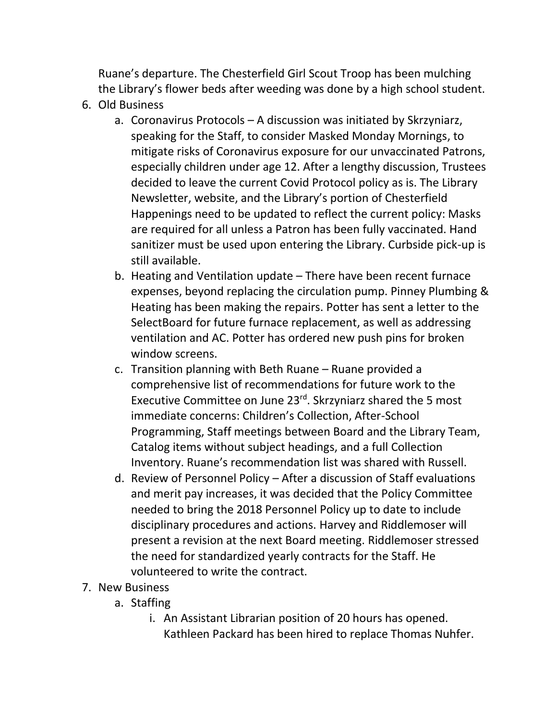Ruane's departure. The Chesterfield Girl Scout Troop has been mulching the Library's flower beds after weeding was done by a high school student.

- 6. Old Business
	- a. Coronavirus Protocols A discussion was initiated by Skrzyniarz, speaking for the Staff, to consider Masked Monday Mornings, to mitigate risks of Coronavirus exposure for our unvaccinated Patrons, especially children under age 12. After a lengthy discussion, Trustees decided to leave the current Covid Protocol policy as is. The Library Newsletter, website, and the Library's portion of Chesterfield Happenings need to be updated to reflect the current policy: Masks are required for all unless a Patron has been fully vaccinated. Hand sanitizer must be used upon entering the Library. Curbside pick-up is still available.
	- b. Heating and Ventilation update There have been recent furnace expenses, beyond replacing the circulation pump. Pinney Plumbing & Heating has been making the repairs. Potter has sent a letter to the SelectBoard for future furnace replacement, as well as addressing ventilation and AC. Potter has ordered new push pins for broken window screens.
	- c. Transition planning with Beth Ruane Ruane provided a comprehensive list of recommendations for future work to the Executive Committee on June 23<sup>rd</sup>. Skrzyniarz shared the 5 most immediate concerns: Children's Collection, After-School Programming, Staff meetings between Board and the Library Team, Catalog items without subject headings, and a full Collection Inventory. Ruane's recommendation list was shared with Russell.
	- d. Review of Personnel Policy After a discussion of Staff evaluations and merit pay increases, it was decided that the Policy Committee needed to bring the 2018 Personnel Policy up to date to include disciplinary procedures and actions. Harvey and Riddlemoser will present a revision at the next Board meeting. Riddlemoser stressed the need for standardized yearly contracts for the Staff. He volunteered to write the contract.
- 7. New Business
	- a. Staffing
		- i. An Assistant Librarian position of 20 hours has opened. Kathleen Packard has been hired to replace Thomas Nuhfer.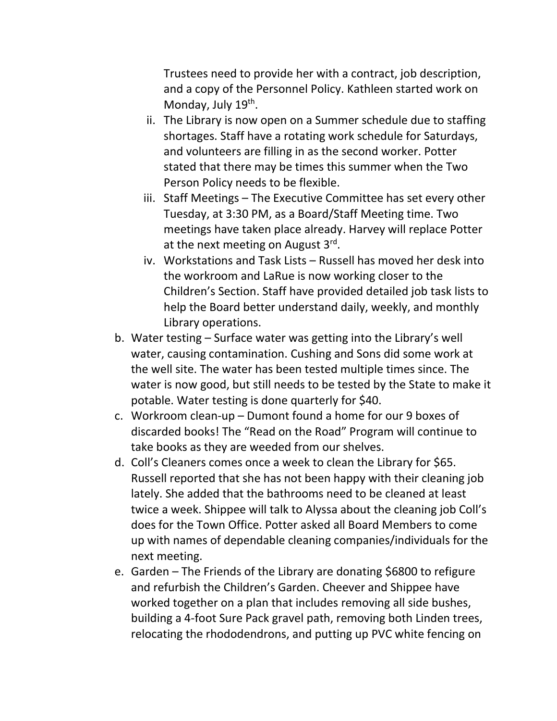Trustees need to provide her with a contract, job description, and a copy of the Personnel Policy. Kathleen started work on Monday, July 19<sup>th</sup>.

- ii. The Library is now open on a Summer schedule due to staffing shortages. Staff have a rotating work schedule for Saturdays, and volunteers are filling in as the second worker. Potter stated that there may be times this summer when the Two Person Policy needs to be flexible.
- iii. Staff Meetings The Executive Committee has set every other Tuesday, at 3:30 PM, as a Board/Staff Meeting time. Two meetings have taken place already. Harvey will replace Potter at the next meeting on August 3<sup>rd</sup>.
- iv. Workstations and Task Lists Russell has moved her desk into the workroom and LaRue is now working closer to the Children's Section. Staff have provided detailed job task lists to help the Board better understand daily, weekly, and monthly Library operations.
- b. Water testing Surface water was getting into the Library's well water, causing contamination. Cushing and Sons did some work at the well site. The water has been tested multiple times since. The water is now good, but still needs to be tested by the State to make it potable. Water testing is done quarterly for \$40.
- c. Workroom clean-up Dumont found a home for our 9 boxes of discarded books! The "Read on the Road" Program will continue to take books as they are weeded from our shelves.
- d. Coll's Cleaners comes once a week to clean the Library for \$65. Russell reported that she has not been happy with their cleaning job lately. She added that the bathrooms need to be cleaned at least twice a week. Shippee will talk to Alyssa about the cleaning job Coll's does for the Town Office. Potter asked all Board Members to come up with names of dependable cleaning companies/individuals for the next meeting.
- e. Garden The Friends of the Library are donating \$6800 to refigure and refurbish the Children's Garden. Cheever and Shippee have worked together on a plan that includes removing all side bushes, building a 4-foot Sure Pack gravel path, removing both Linden trees, relocating the rhododendrons, and putting up PVC white fencing on